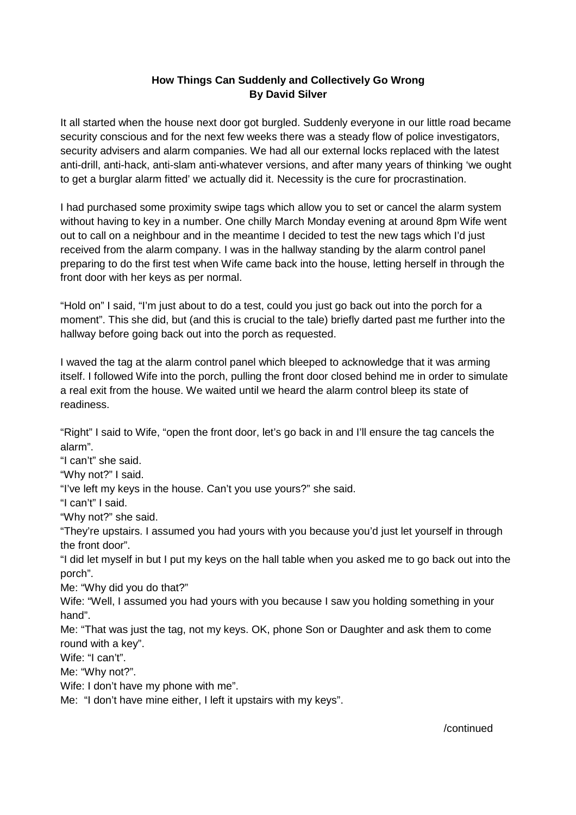## **How Things Can Suddenly and Collectively Go Wrong By David Silver**

It all started when the house next door got burgled. Suddenly everyone in our little road became security conscious and for the next few weeks there was a steady flow of police investigators, security advisers and alarm companies. We had all our external locks replaced with the latest anti-drill, anti-hack, anti-slam anti-whatever versions, and after many years of thinking 'we ought to get a burglar alarm fitted' we actually did it. Necessity is the cure for procrastination.

I had purchased some proximity swipe tags which allow you to set or cancel the alarm system without having to key in a number. One chilly March Monday evening at around 8pm Wife went out to call on a neighbour and in the meantime I decided to test the new tags which I'd just received from the alarm company. I was in the hallway standing by the alarm control panel preparing to do the first test when Wife came back into the house, letting herself in through the front door with her keys as per normal.

"Hold on" I said, "I'm just about to do a test, could you just go back out into the porch for a moment". This she did, but (and this is crucial to the tale) briefly darted past me further into the hallway before going back out into the porch as requested.

I waved the tag at the alarm control panel which bleeped to acknowledge that it was arming itself. I followed Wife into the porch, pulling the front door closed behind me in order to simulate a real exit from the house. We waited until we heard the alarm control bleep its state of readiness.

"Right" I said to Wife, "open the front door, let's go back in and I'll ensure the tag cancels the alarm".

"I can't" she said.

"Why not?" I said.

"I've left my keys in the house. Can't you use yours?" she said.

"I can't" I said.

"Why not?" she said.

"They're upstairs. I assumed you had yours with you because you'd just let yourself in through the front door".

"I did let myself in but I put my keys on the hall table when you asked me to go back out into the porch".

Me: "Why did you do that?"

Wife: "Well, I assumed you had yours with you because I saw you holding something in your hand".

Me: "That was just the tag, not my keys. OK, phone Son or Daughter and ask them to come round with a key".

Wife: "I can't".

Me: "Why not?".

Wife: I don't have my phone with me".

Me: "I don't have mine either, I left it upstairs with my keys".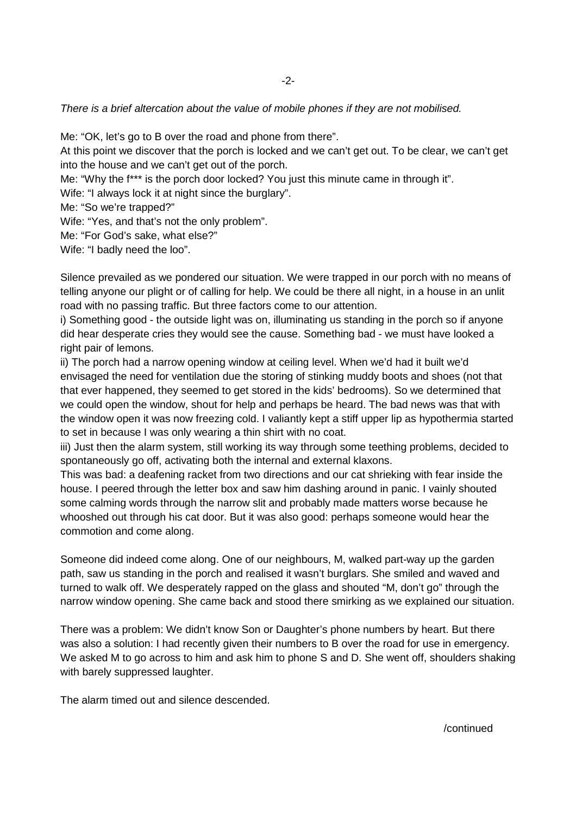## There is a brief altercation about the value of mobile phones if they are not mobilised.

Me: "OK, let's go to B over the road and phone from there".

At this point we discover that the porch is locked and we can't get out. To be clear, we can't get into the house and we can't get out of the porch.

Me: "Why the f\*\*\* is the porch door locked? You just this minute came in through it".

Wife: "I always lock it at night since the burglary".

Me: "So we're trapped?"

Wife: "Yes, and that's not the only problem".

Me: "For God's sake, what else?"

Wife: "I badly need the loo".

Silence prevailed as we pondered our situation. We were trapped in our porch with no means of telling anyone our plight or of calling for help. We could be there all night, in a house in an unlit road with no passing traffic. But three factors come to our attention.

i) Something good - the outside light was on, illuminating us standing in the porch so if anyone did hear desperate cries they would see the cause. Something bad - we must have looked a right pair of lemons.

ii) The porch had a narrow opening window at ceiling level. When we'd had it built we'd envisaged the need for ventilation due the storing of stinking muddy boots and shoes (not that that ever happened, they seemed to get stored in the kids' bedrooms). So we determined that we could open the window, shout for help and perhaps be heard. The bad news was that with the window open it was now freezing cold. I valiantly kept a stiff upper lip as hypothermia started to set in because I was only wearing a thin shirt with no coat.

iii) Just then the alarm system, still working its way through some teething problems, decided to spontaneously go off, activating both the internal and external klaxons.

This was bad: a deafening racket from two directions and our cat shrieking with fear inside the house. I peered through the letter box and saw him dashing around in panic. I vainly shouted some calming words through the narrow slit and probably made matters worse because he whooshed out through his cat door. But it was also good: perhaps someone would hear the commotion and come along.

Someone did indeed come along. One of our neighbours, M, walked part-way up the garden path, saw us standing in the porch and realised it wasn't burglars. She smiled and waved and turned to walk off. We desperately rapped on the glass and shouted "M, don't go" through the narrow window opening. She came back and stood there smirking as we explained our situation.

There was a problem: We didn't know Son or Daughter's phone numbers by heart. But there was also a solution: I had recently given their numbers to B over the road for use in emergency. We asked M to go across to him and ask him to phone S and D. She went off, shoulders shaking with barely suppressed laughter.

The alarm timed out and silence descended.

/continued